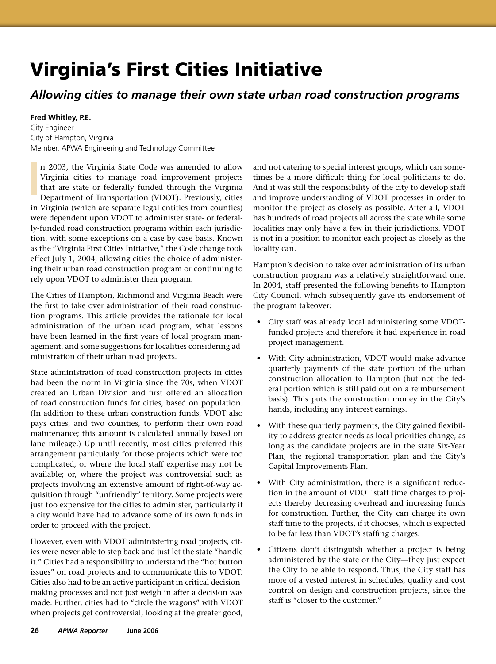## Virginia's First Cities Initiative

## *Allowing cities to manage their own state urban road construction programs*

## **Fred Whitley, P.E.**

City Engineer City of Hampton, Virginia Member, APWA Engineering and Technology Committee

n 2003, the Virginia State Code was amended to allow Virginia cities to manage road improvement projects that are state or federally funded through the Virginia Department of Transportation (VDOT). Previously, cities in Virginia (which are separate legal entities from counties) were dependent upon VDOT to administer state- or federally-funded road construction programs within each jurisdiction, with some exceptions on a case-by-case basis. Known as the "Virginia First Cities Initiative," the Code change took effect July 1, 2004, allowing cities the choice of administering their urban road construction program or continuing to rely upon VDOT to administer their program.

The Cities of Hampton, Richmond and Virginia Beach were the first to take over administration of their road construction programs. This article provides the rationale for local administration of the urban road program, what lessons have been learned in the first years of local program management, and some suggestions for localities considering administration of their urban road projects.

State administration of road construction projects in cities had been the norm in Virginia since the 70s, when VDOT created an Urban Division and first offered an allocation of road construction funds for cities, based on population. (In addition to these urban construction funds, VDOT also pays cities, and two counties, to perform their own road maintenance; this amount is calculated annually based on lane mileage.) Up until recently, most cities preferred this arrangement particularly for those projects which were too complicated, or where the local staff expertise may not be available; or, where the project was controversial such as projects involving an extensive amount of right-of-way acquisition through "unfriendly" territory. Some projects were just too expensive for the cities to administer, particularly if a city would have had to advance some of its own funds in order to proceed with the project.

However, even with VDOT administering road projects, cities were never able to step back and just let the state "handle it." Cities had a responsibility to understand the "hot button issues" on road projects and to communicate this to VDOT. Cities also had to be an active participant in critical decisionmaking processes and not just weigh in after a decision was made. Further, cities had to "circle the wagons" with VDOT when projects get controversial, looking at the greater good,

and not catering to special interest groups, which can sometimes be a more difficult thing for local politicians to do. And it was still the responsibility of the city to develop staff and improve understanding of VDOT processes in order to monitor the project as closely as possible. After all, VDOT has hundreds of road projects all across the state while some localities may only have a few in their jurisdictions. VDOT is not in a position to monitor each project as closely as the locality can.

Hampton's decision to take over administration of its urban construction program was a relatively straightforward one. In 2004, staff presented the following benefits to Hampton City Council, which subsequently gave its endorsement of the program takeover:

- City staff was already local administering some VDOTfunded projects and therefore it had experience in road project management. •
- With City administration, VDOT would make advance quarterly payments of the state portion of the urban construction allocation to Hampton (but not the federal portion which is still paid out on a reimbursement basis). This puts the construction money in the City's hands, including any interest earnings.
- With these quarterly payments, the City gained flexibility to address greater needs as local priorities change, as long as the candidate projects are in the state Six-Year Plan, the regional transportation plan and the City's Capital Improvements Plan.
- With City administration, there is a significant reduction in the amount of VDOT staff time charges to projects thereby decreasing overhead and increasing funds for construction. Further, the City can charge its own staff time to the projects, if it chooses, which is expected to be far less than VDOT's staffing charges.
- Citizens don't distinguish whether a project is being administered by the state or the City—they just expect the City to be able to respond. Thus, the City staff has more of a vested interest in schedules, quality and cost control on design and construction projects, since the staff is "closer to the customer." •